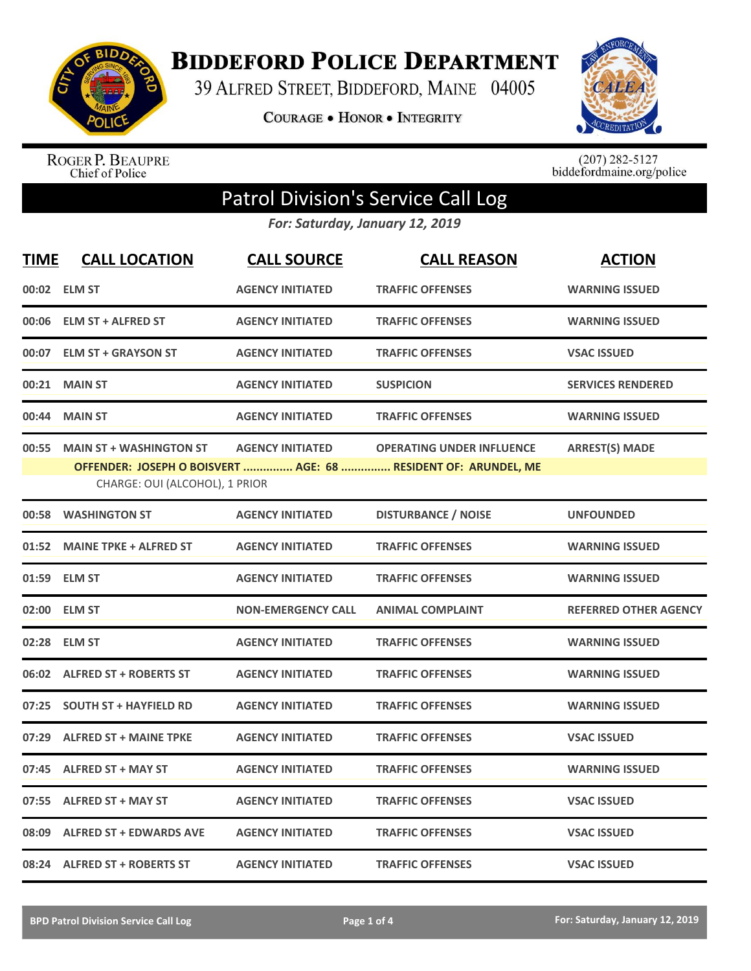

**BIDDEFORD POLICE DEPARTMENT** 

39 ALFRED STREET, BIDDEFORD, MAINE 04005

**COURAGE . HONOR . INTEGRITY** 



ROGER P. BEAUPRE<br>Chief of Police

 $(207)$  282-5127<br>biddefordmaine.org/police

## Patrol Division's Service Call Log

*For: Saturday, January 12, 2019*

| <b>TIME</b> | <b>CALL LOCATION</b>                                             | <b>CALL SOURCE</b>        | <b>CALL REASON</b>                                                                                 | <b>ACTION</b>                |
|-------------|------------------------------------------------------------------|---------------------------|----------------------------------------------------------------------------------------------------|------------------------------|
|             | 00:02 ELM ST                                                     | <b>AGENCY INITIATED</b>   | <b>TRAFFIC OFFENSES</b>                                                                            | <b>WARNING ISSUED</b>        |
|             | 00:06 ELM ST + ALFRED ST                                         | <b>AGENCY INITIATED</b>   | <b>TRAFFIC OFFENSES</b>                                                                            | <b>WARNING ISSUED</b>        |
| 00:07       | <b>ELM ST + GRAYSON ST</b>                                       | <b>AGENCY INITIATED</b>   | <b>TRAFFIC OFFENSES</b>                                                                            | <b>VSAC ISSUED</b>           |
| 00:21       | <b>MAIN ST</b>                                                   | <b>AGENCY INITIATED</b>   | <b>SUSPICION</b>                                                                                   | <b>SERVICES RENDERED</b>     |
| 00:44       | <b>MAIN ST</b>                                                   | <b>AGENCY INITIATED</b>   | <b>TRAFFIC OFFENSES</b>                                                                            | <b>WARNING ISSUED</b>        |
| 00:55       | <b>MAIN ST + WASHINGTON ST</b><br>CHARGE: OUI (ALCOHOL), 1 PRIOR | <b>AGENCY INITIATED</b>   | <b>OPERATING UNDER INFLUENCE</b><br>OFFENDER: JOSEPH O BOISVERT  AGE: 68  RESIDENT OF: ARUNDEL, ME | <b>ARREST(S) MADE</b>        |
| 00:58       | <b>WASHINGTON ST</b>                                             | <b>AGENCY INITIATED</b>   | <b>DISTURBANCE / NOISE</b>                                                                         | <b>UNFOUNDED</b>             |
| 01:52       | <b>MAINE TPKE + ALFRED ST</b>                                    | <b>AGENCY INITIATED</b>   | <b>TRAFFIC OFFENSES</b>                                                                            | <b>WARNING ISSUED</b>        |
| 01:59       | <b>ELM ST</b>                                                    | <b>AGENCY INITIATED</b>   | <b>TRAFFIC OFFENSES</b>                                                                            | <b>WARNING ISSUED</b>        |
| 02:00       | <b>ELM ST</b>                                                    | <b>NON-EMERGENCY CALL</b> | <b>ANIMAL COMPLAINT</b>                                                                            | <b>REFERRED OTHER AGENCY</b> |
| 02:28       | <b>ELM ST</b>                                                    | <b>AGENCY INITIATED</b>   | <b>TRAFFIC OFFENSES</b>                                                                            | <b>WARNING ISSUED</b>        |
|             | 06:02 ALFRED ST + ROBERTS ST                                     | <b>AGENCY INITIATED</b>   | <b>TRAFFIC OFFENSES</b>                                                                            | <b>WARNING ISSUED</b>        |
| 07:25       | <b>SOUTH ST + HAYFIELD RD</b>                                    | <b>AGENCY INITIATED</b>   | <b>TRAFFIC OFFENSES</b>                                                                            | <b>WARNING ISSUED</b>        |
| 07:29       | <b>ALFRED ST + MAINE TPKE</b>                                    | <b>AGENCY INITIATED</b>   | <b>TRAFFIC OFFENSES</b>                                                                            | <b>VSAC ISSUED</b>           |
| 07:45       | <b>ALFRED ST + MAY ST</b>                                        | <b>AGENCY INITIATED</b>   | <b>TRAFFIC OFFENSES</b>                                                                            | <b>WARNING ISSUED</b>        |
| 07:55       | <b>ALFRED ST + MAY ST</b>                                        | <b>AGENCY INITIATED</b>   | <b>TRAFFIC OFFENSES</b>                                                                            | <b>VSAC ISSUED</b>           |
| 08:09       | <b>ALFRED ST + EDWARDS AVE</b>                                   | <b>AGENCY INITIATED</b>   | <b>TRAFFIC OFFENSES</b>                                                                            | <b>VSAC ISSUED</b>           |
|             | 08:24 ALFRED ST + ROBERTS ST                                     | <b>AGENCY INITIATED</b>   | <b>TRAFFIC OFFENSES</b>                                                                            | <b>VSAC ISSUED</b>           |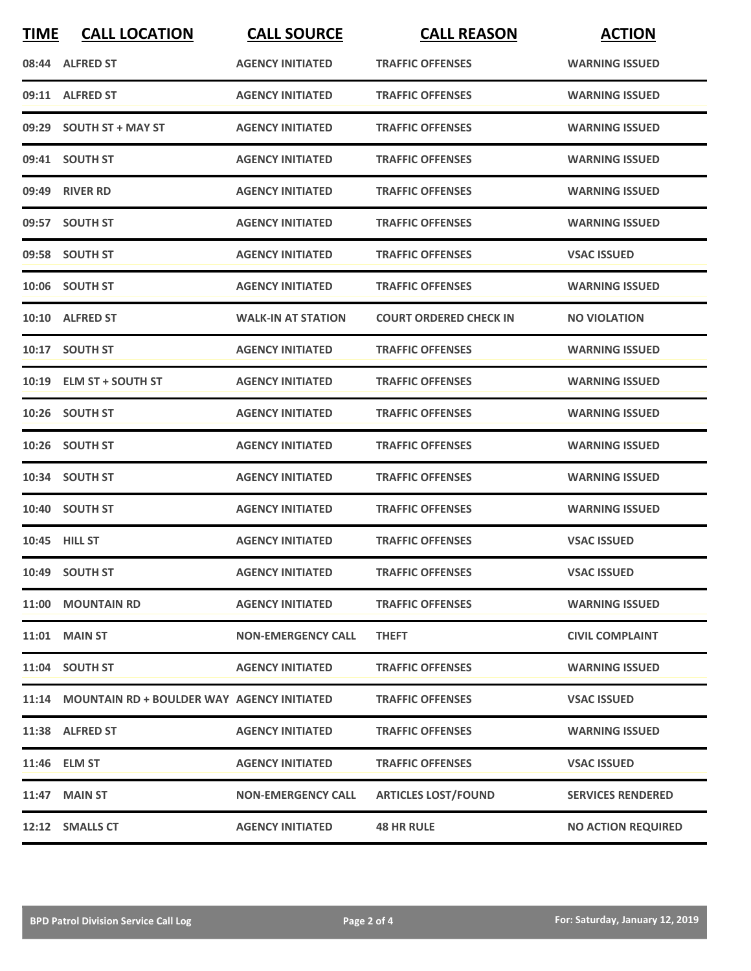| <b>TIME</b> | <b>CALL LOCATION</b>                             | <b>CALL SOURCE</b>        | <b>CALL REASON</b>            | <b>ACTION</b>             |
|-------------|--------------------------------------------------|---------------------------|-------------------------------|---------------------------|
|             | 08:44 ALFRED ST                                  | <b>AGENCY INITIATED</b>   | <b>TRAFFIC OFFENSES</b>       | <b>WARNING ISSUED</b>     |
|             | 09:11 ALFRED ST                                  | <b>AGENCY INITIATED</b>   | <b>TRAFFIC OFFENSES</b>       | <b>WARNING ISSUED</b>     |
|             | 09:29 SOUTH ST + MAY ST                          | <b>AGENCY INITIATED</b>   | <b>TRAFFIC OFFENSES</b>       | <b>WARNING ISSUED</b>     |
|             | 09:41 SOUTH ST                                   | <b>AGENCY INITIATED</b>   | <b>TRAFFIC OFFENSES</b>       | <b>WARNING ISSUED</b>     |
|             | 09:49 RIVER RD                                   | <b>AGENCY INITIATED</b>   | <b>TRAFFIC OFFENSES</b>       | <b>WARNING ISSUED</b>     |
|             | 09:57 SOUTH ST                                   | <b>AGENCY INITIATED</b>   | <b>TRAFFIC OFFENSES</b>       | <b>WARNING ISSUED</b>     |
|             | 09:58 SOUTH ST                                   | <b>AGENCY INITIATED</b>   | <b>TRAFFIC OFFENSES</b>       | <b>VSAC ISSUED</b>        |
|             | 10:06 SOUTH ST                                   | <b>AGENCY INITIATED</b>   | <b>TRAFFIC OFFENSES</b>       | <b>WARNING ISSUED</b>     |
|             | 10:10 ALFRED ST                                  | <b>WALK-IN AT STATION</b> | <b>COURT ORDERED CHECK IN</b> | <b>NO VIOLATION</b>       |
|             | 10:17 SOUTH ST                                   | <b>AGENCY INITIATED</b>   | <b>TRAFFIC OFFENSES</b>       | <b>WARNING ISSUED</b>     |
|             | 10:19 ELM ST + SOUTH ST                          | <b>AGENCY INITIATED</b>   | <b>TRAFFIC OFFENSES</b>       | <b>WARNING ISSUED</b>     |
|             | 10:26 SOUTH ST                                   | <b>AGENCY INITIATED</b>   | <b>TRAFFIC OFFENSES</b>       | <b>WARNING ISSUED</b>     |
|             | 10:26 SOUTH ST                                   | <b>AGENCY INITIATED</b>   | <b>TRAFFIC OFFENSES</b>       | <b>WARNING ISSUED</b>     |
|             | 10:34 SOUTH ST                                   | <b>AGENCY INITIATED</b>   | <b>TRAFFIC OFFENSES</b>       | <b>WARNING ISSUED</b>     |
|             | 10:40 SOUTH ST                                   | <b>AGENCY INITIATED</b>   | <b>TRAFFIC OFFENSES</b>       | <b>WARNING ISSUED</b>     |
|             | 10:45 HILL ST                                    | <b>AGENCY INITIATED</b>   | <b>TRAFFIC OFFENSES</b>       | <b>VSAC ISSUED</b>        |
|             | 10:49 SOUTH ST                                   | <b>AGENCY INITIATED</b>   | <b>TRAFFIC OFFENSES</b>       | <b>VSAC ISSUED</b>        |
|             | 11:00 MOUNTAIN RD                                | <b>AGENCY INITIATED</b>   | <b>TRAFFIC OFFENSES</b>       | <b>WARNING ISSUED</b>     |
|             | 11:01 MAIN ST                                    | <b>NON-EMERGENCY CALL</b> | <b>THEFT</b>                  | <b>CIVIL COMPLAINT</b>    |
|             | 11:04 SOUTH ST                                   | <b>AGENCY INITIATED</b>   | <b>TRAFFIC OFFENSES</b>       | <b>WARNING ISSUED</b>     |
|             | 11:14 MOUNTAIN RD + BOULDER WAY AGENCY INITIATED |                           | <b>TRAFFIC OFFENSES</b>       | <b>VSAC ISSUED</b>        |
|             | 11:38 ALFRED ST                                  | <b>AGENCY INITIATED</b>   | <b>TRAFFIC OFFENSES</b>       | <b>WARNING ISSUED</b>     |
|             | 11:46 ELM ST                                     | <b>AGENCY INITIATED</b>   | <b>TRAFFIC OFFENSES</b>       | <b>VSAC ISSUED</b>        |
|             | 11:47 MAIN ST                                    | <b>NON-EMERGENCY CALL</b> | <b>ARTICLES LOST/FOUND</b>    | <b>SERVICES RENDERED</b>  |
|             | 12:12 SMALLS CT                                  | <b>AGENCY INITIATED</b>   | <b>48 HR RULE</b>             | <b>NO ACTION REQUIRED</b> |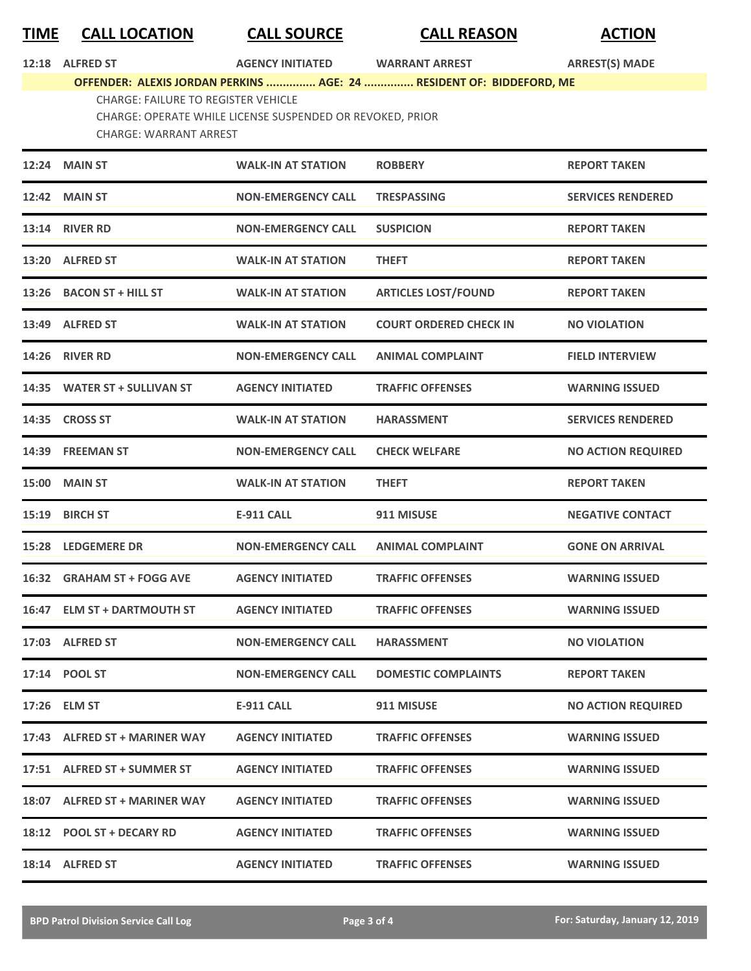## **TIME CALL LOCATION CALL SOURCE CALL REASON ACTION**

| 12:18 ALFRED ST                                                      | <b>AGENCY INITIATED</b> | <b>WARRANT ARREST</b> | <b>ARREST(S) MADE</b> |
|----------------------------------------------------------------------|-------------------------|-----------------------|-----------------------|
| OFFENDER: ALEXIS JORDAN PERKINS  AGE: 24  RESIDENT OF: BIDDEFORD, ME |                         |                       |                       |
| <b>CHARGE: FAILURE TO REGISTER VEHICLE</b>                           |                         |                       |                       |
| CHARGE: OPERATE WHILE LICENSE SUSPENDED OR REVOKED, PRIOR            |                         |                       |                       |
| CHARGE: WARRANT ARREST                                               |                         |                       |                       |
|                                                                      |                         |                       |                       |

|       | 12:24 MAIN ST                 | <b>WALK-IN AT STATION</b> | <b>ROBBERY</b>                | <b>REPORT TAKEN</b>       |
|-------|-------------------------------|---------------------------|-------------------------------|---------------------------|
|       | <b>12:42 MAIN ST</b>          | <b>NON-EMERGENCY CALL</b> | <b>TRESPASSING</b>            | <b>SERVICES RENDERED</b>  |
|       | <b>13:14 RIVER RD</b>         | <b>NON-EMERGENCY CALL</b> | <b>SUSPICION</b>              | <b>REPORT TAKEN</b>       |
| 13:20 | <b>ALFRED ST</b>              | <b>WALK-IN AT STATION</b> | <b>THEFT</b>                  | <b>REPORT TAKEN</b>       |
|       | 13:26 BACON ST + HILL ST      | <b>WALK-IN AT STATION</b> | <b>ARTICLES LOST/FOUND</b>    | <b>REPORT TAKEN</b>       |
|       | 13:49 ALFRED ST               | <b>WALK-IN AT STATION</b> | <b>COURT ORDERED CHECK IN</b> | <b>NO VIOLATION</b>       |
|       | 14:26 RIVER RD                | <b>NON-EMERGENCY CALL</b> | <b>ANIMAL COMPLAINT</b>       | <b>FIELD INTERVIEW</b>    |
|       | 14:35 WATER ST + SULLIVAN ST  | <b>AGENCY INITIATED</b>   | <b>TRAFFIC OFFENSES</b>       | <b>WARNING ISSUED</b>     |
| 14:35 | <b>CROSS ST</b>               | <b>WALK-IN AT STATION</b> | <b>HARASSMENT</b>             | <b>SERVICES RENDERED</b>  |
| 14:39 | <b>FREEMAN ST</b>             | <b>NON-EMERGENCY CALL</b> | <b>CHECK WELFARE</b>          | <b>NO ACTION REQUIRED</b> |
| 15:00 | <b>MAIN ST</b>                | <b>WALK-IN AT STATION</b> | <b>THEFT</b>                  | <b>REPORT TAKEN</b>       |
|       | 15:19 BIRCH ST                | <b>E-911 CALL</b>         | 911 MISUSE                    | <b>NEGATIVE CONTACT</b>   |
|       | <b>15:28 LEDGEMERE DR</b>     | <b>NON-EMERGENCY CALL</b> | <b>ANIMAL COMPLAINT</b>       | <b>GONE ON ARRIVAL</b>    |
| 16:32 | <b>GRAHAM ST + FOGG AVE</b>   | <b>AGENCY INITIATED</b>   | <b>TRAFFIC OFFENSES</b>       | <b>WARNING ISSUED</b>     |
|       | 16:47 ELM ST + DARTMOUTH ST   | <b>AGENCY INITIATED</b>   | <b>TRAFFIC OFFENSES</b>       | <b>WARNING ISSUED</b>     |
|       | 17:03 ALFRED ST               | <b>NON-EMERGENCY CALL</b> | <b>HARASSMENT</b>             | <b>NO VIOLATION</b>       |
|       | 17:14 POOL ST                 | <b>NON-EMERGENCY CALL</b> | <b>DOMESTIC COMPLAINTS</b>    | <b>REPORT TAKEN</b>       |
|       | 17:26 ELM ST                  | E-911 CALL                | 911 MISUSE                    | <b>NO ACTION REQUIRED</b> |
|       | 17:43 ALFRED ST + MARINER WAY | <b>AGENCY INITIATED</b>   | <b>TRAFFIC OFFENSES</b>       | <b>WARNING ISSUED</b>     |
|       | 17:51 ALFRED ST + SUMMER ST   | <b>AGENCY INITIATED</b>   | <b>TRAFFIC OFFENSES</b>       | <b>WARNING ISSUED</b>     |
|       | 18:07 ALFRED ST + MARINER WAY | <b>AGENCY INITIATED</b>   | <b>TRAFFIC OFFENSES</b>       | <b>WARNING ISSUED</b>     |
|       | 18:12 POOL ST + DECARY RD     | <b>AGENCY INITIATED</b>   | <b>TRAFFIC OFFENSES</b>       | <b>WARNING ISSUED</b>     |
|       | 18:14 ALFRED ST               | <b>AGENCY INITIATED</b>   | <b>TRAFFIC OFFENSES</b>       | <b>WARNING ISSUED</b>     |